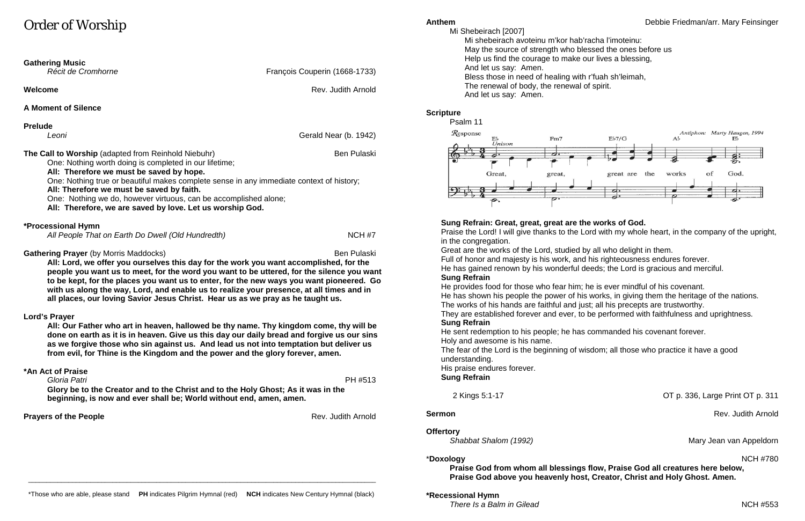# Order of Worship

| <b>Gathering Music</b><br>Récit de Cromhorne                                                                                                                                                                                                                                                                                                                                                                                                                                                                   | François Couperin (1668-1733) |
|----------------------------------------------------------------------------------------------------------------------------------------------------------------------------------------------------------------------------------------------------------------------------------------------------------------------------------------------------------------------------------------------------------------------------------------------------------------------------------------------------------------|-------------------------------|
| Welcome                                                                                                                                                                                                                                                                                                                                                                                                                                                                                                        | Rev. Judith Arnold            |
| <b>A Moment of Silence</b>                                                                                                                                                                                                                                                                                                                                                                                                                                                                                     |                               |
| <b>Prelude</b>                                                                                                                                                                                                                                                                                                                                                                                                                                                                                                 |                               |
| Leoni                                                                                                                                                                                                                                                                                                                                                                                                                                                                                                          | Gerald Near (b. 1942)         |
| The Call to Worship (adapted from Reinhold Niebuhr)<br>One: Nothing worth doing is completed in our lifetime;<br>All: Therefore we must be saved by hope.<br>One: Nothing true or beautiful makes complete sense in any immediate context of history;<br>All: Therefore we must be saved by faith.<br>One: Nothing we do, however virtuous, can be accomplished alone;<br>All: Therefore, we are saved by love. Let us worship God.                                                                            | <b>Ben Pulaski</b>            |
| *Processional Hymn<br>All People That on Earth Do Dwell (Old Hundredth)                                                                                                                                                                                                                                                                                                                                                                                                                                        | NCH <sub>#7</sub>             |
| <b>Gathering Prayer</b> (by Morris Maddocks)<br>All: Lord, we offer you ourselves this day for the work you want accomplished, for the<br>people you want us to meet, for the word you want to be uttered, for the silence you want<br>to be kept, for the places you want us to enter, for the new ways you want pioneered. Go<br>with us along the way, Lord, and enable us to realize your presence, at all times and in<br>all places, our loving Savior Jesus Christ. Hear us as we pray as he taught us. | <b>Ben Pulaski</b>            |
| Lord's Prayer                                                                                                                                                                                                                                                                                                                                                                                                                                                                                                  |                               |
| All: Our Father who art in heaven, hallowed be thy name. Thy kingdom come, thy will be<br>done on earth as it is in heaven. Give us this day our daily bread and forgive us our sins<br>as we forgive those who sin against us. And lead us not into temptation but deliver us<br>from evil, for Thine is the Kingdom and the power and the glory forever, amen.                                                                                                                                               |                               |
| *An Act of Praise<br>Gloria Patri<br>Glory be to the Creator and to the Christ and to the Holy Ghost; As it was in the<br>beginning, is now and ever shall be; World without end, amen, amen.                                                                                                                                                                                                                                                                                                                  | PH #513                       |

**Prayers of the People** Rev. Judith Arnold

The renewal of body, the renewal of spirit. And let us say: Amen. Psalm 11 Eb Fm7

Mi Shebeirach [2007]

- Mi shebeirach avoteinu m'kor hab'racha l'imoteinu: May the source of strength who blessed the ones before us Help us find the courage to make our lives a blessing,
- Bless those in need of healing with r'fuah sh'leimah,

And let us say: Amen.



**Scripture**

**Sung Refrain: Great, great, great are the works of God.** 

Praise the Lord! I will give thanks to the Lord with my whole heart, in the company of the upright, in the congregation.

Great are the works of the Lord, studied by all who delight in them. Full of honor and majesty is his work, and his righteousness endures forever. He has gained renown by his wonderful deeds; the Lord is gracious and merciful. **Sung Refrain**

He provides food for those who fear him; he is ever mindful of his covenant. The works of his hands are faithful and just; all his precepts are trustworthy. **Sung Refrain**

- 
- 
- 
- 
- He has shown his people the power of his works, in giving them the heritage of the nations.
	-
- They are established forever and ever, to be performed with faithfulness and uprightness.
	-
	-

He sent redemption to his people; he has commanded his covenant forever. Holy and awesome is his name.

The fear of the Lord is the beginning of wisdom; all those who practice it have a good understanding.

His praise endures forever. **Sung Refrain**

**Offertory**<br>Shabbat Shalom (1992)

2 Kings 5:1-17 OT p. 336, Large Print OT p. 311

**Sermon** Rev. Judith Arnold Rev. Judith Arnold Rev. Judith Arnold Rev. Judith Arnold Rev. Judith Arnold Rev. Judith Arnold Rev. 30. 1999

**Mary Jean van Appeldorn** 

\***Doxology** NCH #780 **Praise God from whom all blessings flow, Praise God all creatures here below, Praise God above you heavenly host, Creator, Christ and Holy Ghost. Amen.**

**\*Recessional Hymn** 

*There Is a Balm in Gilead* No. 2016 **No. 2016** NCH #553

\_\_\_\_\_\_\_\_\_\_\_\_\_\_\_\_\_\_\_\_\_\_\_\_\_\_\_\_\_\_\_\_\_\_\_\_\_\_\_\_\_\_\_\_\_\_\_\_\_\_\_\_\_\_\_\_\_\_\_\_\_\_\_\_\_\_\_\_\_\_\_\_\_\_\_\_\_\_\_\_\_\_\_\_\_\_\_\_\_\_\_\_\_\_\_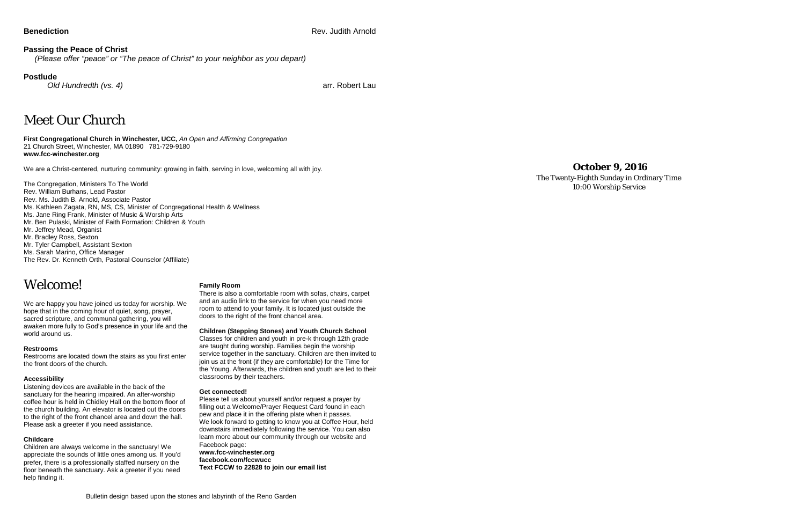**Benediction** Rev. Judith Arnold Rev. Judith Arnold Rev. Judith Arnold Rev. Judith Arnold Rev. Judith Arnold Rev. Judith Arnold Rev. 3

## **Passing the Peace of Christ**

 *(Please offer "peace" or "The peace of Christ" to your neighbor as you depart)*

### **Postlude**

*Old Hundredth (vs. 4)* arr. Robert Lau

# Meet Our Church

**First Congregational Church in Winchester, UCC,** *An Open and Affirming Congregation* 21 Church Street, Winchester, MA 01890 781-729-9180 **www.fcc-winchester.org**

We are a Christ-centered, nurturing community: growing in faith, serving in love, welcoming all with joy.

The Congregation, Ministers To The World Rev. William Burhans, Lead Pastor Rev. Ms. Judith B. Arnold, Associate Pastor Ms. Kathleen Zagata, RN, MS, CS, Minister of Congregational Health & Wellness Ms. Jane Ring Frank, Minister of Music & Worship Arts Mr. Ben Pulaski, Minister of Faith Formation: Children & Youth Mr. Jeffrey Mead, Organist Mr. Bradley Ross, Sexton Mr. Tyler Campbell, Assistant Sexton Ms. Sarah Marino, Office Manager The Rev. Dr. Kenneth Orth, Pastoral Counselor (Affiliate)

# Welcome!

We are happy you have joined us today for worship. We hope that in the coming hour of quiet, song, prayer, sacred scripture, and communal gathering, you will awaken more fully to God's presence in your life and the world around us.

### **Restrooms**

Restrooms are located down the stairs as you first enter the front doors of the church.

### **Accessibility**

Listening devices are available in the back of the sanctuary for the hearing impaired. An after-worship coffee hour is held in Chidley Hall on the bottom floor of the church building. An elevator is located out the doors to the right of the front chancel area and down the hall. Please ask a greeter if you need assistance.

### **Childcare**

Children are always welcome in the sanctuary! We appreciate the sounds of little ones among us. If you'd prefer, there is a professionally staffed nursery on the floor beneath the sanctuary. Ask a greeter if you need help finding it.

### **Family Room**

There is also a comfortable room with sofas, chairs, carpet and an audio link to the service for when you need more room to attend to your family. It is located just outside the doors to the right of the front chancel area.

### **Children (Stepping Stones) and Youth Church School**

Classes for children and youth in pre-k through 12th grade are taught during worship. Families begin the worship service together in the sanctuary. Children are then invited to join us at the front (if they are comfortable) for the Time for the Young. Afterwards, the children and youth are led to their classrooms by their teachers.

### **Get connected!**

Please tell us about yourself and/or request a prayer by filling out a Welcome/Prayer Request Card found in each pew and place it in the offering plate when it passes. We look forward to getting to know you at Coffee Hour, held downstairs immediately following the service. You can also learn more about our community through our website and Facebook page: **www.fcc-winchester.org**

**facebook.com/fccwucc**

**Text FCCW to 22828 to join our email list**

## **October 9, 2016**

The Twenty-Eighth Sunday in Ordinary Time 10:00 Worship Service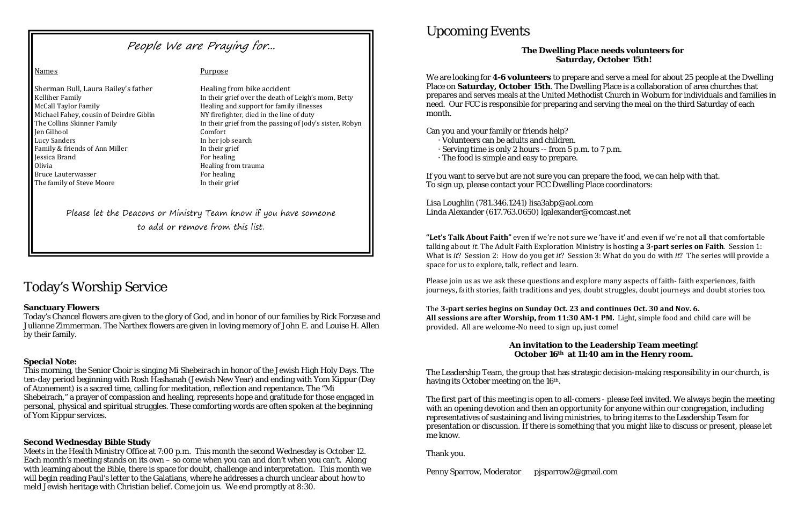# Today's Worship Service

## **Sanctuary Flowers**

Today's Chancel flowers are given to the glory of God, and in honor of our families by Rick Forzese and Julianne Zimmerman. The Narthex flowers are given in loving memory of John E. and Louise H. Allen by their family.

## **Special Note:**

This morning, the Senior Choir is singing *Mi Shebeirach* in honor of the Jewish High Holy Days. The ten-day period beginning with Rosh Hashanah (Jewish New Year) and ending with Yom Kippur (Day of Atonement) is a sacred time, calling for meditation, reflection and repentance. The "Mi Shebeirach," a prayer of compassion and healing, represents hope and gratitude for those engaged in personal, physical and spiritual struggles. These comforting words are often spoken at the beginning of Yom Kippur services.

## **Second Wednesday Bible Study**

Meets in the Health Ministry Office at 7:00 p.m. This month the second Wednesday is October 12. Each month's meeting stands on its own – so come when you can and don't when you can't. Along with learning about the Bible, there is space for doubt, challenge and interpretation. This month we will begin reading Paul's letter to the Galatians, where he addresses a church unclear about how to meld Jewish heritage with Christian belief. Come join us. We end promptly at 8:30.

# Upcoming Events

## **The Dwelling Place needs volunteers for Saturday, October 15th!**

The Leadership Team, the group that has strategic decision-making responsibility in our church, is having its October meeting on the 16<sup>th</sup>.

We are looking for **4-6 volunteers** to prepare and serve a meal for about 25 people at the Dwelling Place on **Saturday, October 15th**. The Dwelling Place is a collaboration of area churches that prepares and serves meals at the United Methodist Church in Woburn for individuals and families in need. Our FCC is responsible for preparing and serving the meal on the third Saturday of each month.

Can you and your family or friends help?

- · Volunteers can be adults and children.
- · Serving time is only 2 hours -- from 5 p.m. to 7 p.m.
- · The food is simple and easy to prepare.

If you want to serve but are not sure you can prepare the food, we can help with that. To sign up, please contact your FCC Dwelling Place coordinators:

Lisa Loughlin (781.346.1241) lisa3abp@aol.com Linda Alexander (617.763.0650) lgalexander@comcast.net

**"Let's Talk About Faith"** even if we're not sure we 'have it' and even if we're not all that comfortable talking about *it*. The Adult Faith Exploration Ministry is hosting **a 3-part series on Faith**. Session 1: What is *it*? Session 2: How do you get *it*? Session 3: What do you do with *it*? The series will provide a space for us to explore, talk, reflect and learn.

Please join us as we ask these questions and explore many aspects of faith- faith experiences, faith journeys, faith stories, faith traditions and yes, doubt struggles, doubt journeys and doubt stories too.

The **3-part series begins on Sunday Oct. 23 and continues Oct. 30 and Nov. 6. All sessions are after Worship, from 11:30 AM-1 PM.** Light, simple food and child care will be provided. All are welcome-No need to sign up, just come!

## **An invitation to the Leadership Team meeting! October 16th at 11:40 am in the Henry room.**

The first part of this meeting is open to all-comers - please feel invited. We always begin the meeting with an opening devotion and then an opportunity for anyone within our congregation, including representatives of sustaining and living ministries, to bring items to the Leadership Team for presentation or discussion. If there is something that you might like to discuss or present, please let me know.

Thank you.

Penny Sparrow, Moderator pjsparrow2@gmail.com

# People We are Praying for...

Sherman Bull, Laura Bailey's father Healing from bike accident<br>Kelliher Family Healing from bike accident<br>In their grief over the death of Michael Fahey, cousin of Deirdre Giblin<br>The Collins Skinner Family Jen Gilhool<br>Lucy Sanders Family & friends of Ann Miller In their grie<br>
In their grie<br>
For healing Jessica Brand<br>Olivia Bruce Lauterwasser<br>
The family of Steve Moore<br>
The family of Steve Moore<br>
For healing their grief The family of Steve Moore

## <u>Names</u> experimental control of the Purpose

Kelliher Family<br>
McCall Taylor Family<br>
McCall Taylor Family<br>
McCall Taylor Family Healing and support for family illnesses<br>NY firefighter, died in the line of duty In their grief from the passing of Jody's sister, Robyn Comfort In her job search<br>In their grief Healing from trauma<br>For healing

Please let the Deacons or Ministry Team know if you have someone to add or remove from this list.